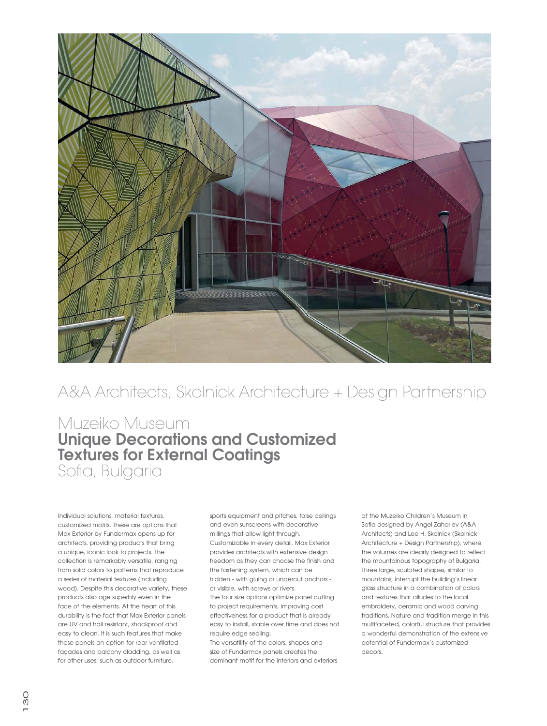

## A&A Architects, Skolnick Architecture + Design Partnership

## Muzeiko Museum **Unique Decorations and Customized Textures for External Coatings** Sofia, Bulgaria

Individual solutions, material textures, customized motifs. These are options that Max Exterior by Fundermax opens up for architects, providing products that bring a unique, iconic look to projects. The collection is remarkably versatile, ranging from solid colors to patterns that reproduce a series of material textures (including wood). Despite this decorative variety, these products also age superbly even in the face of the elements. At the heart of this durability is the fact that Max Exterior panels are UV and hail resistant, shockproof and easy to clean. It is such features that make these panels an option for rear-ventilated façades and balcony cladding, as well as for other uses, such as outdoor furniture,

sports equipment and pitches, false ceilings and even sunscreens with decorative millings that allow light through. Customizable in every detail, Max Exterior provides architects with extensive design freedom as they can choose the finish and the fastening system, which can be hidden - with gluing or undercut anchors or visible, with screws or rivets. The four size options optimize panel cutting to project requirements, improving cost effectiveness for a product that is already

easy to install, stable over time and does not require edge sealing. The versatility of the colors, shapes and

size of Fundermax panels creates the dominant motif for the interiors and exteriors at the Muzeiko Children's Museum in Sofia designed by Angel Zahariev (A&A Architects) and Lee H. Skolnick (Skolnick Architecture + Design Partnership), where the volumes are clearly designed to reflect the mountainous topography of Bulgaria. Three large, sculpted shapes, similar to mountains, interrupt the building's linear glass structure in a combination of colors and textures that alludes to the local embroidery, ceramic and wood carving traditions. Nature and tradition merge in this multifaceted, colorful structure that provides a wonderful demonstration of the extensive potential of Fundermax's customized decors.